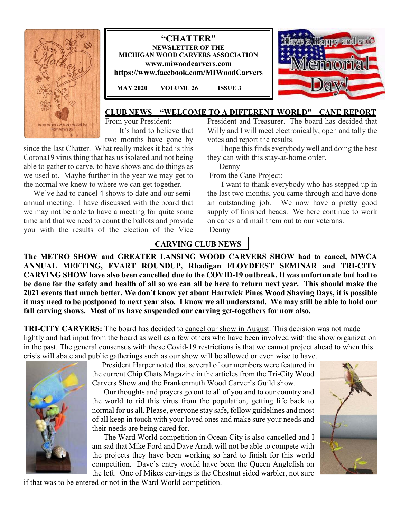





#### **CLUB NEWS "WELCOME TO A DIFFERENT WORLD" CANE REPORT**

From your President: It's hard to believe that

two months have gone by

since the last Chatter. What really makes it bad is this Corona19 virus thing that has us isolated and not being able to gather to carve, to have shows and do things as we used to. Maybe further in the year we may get to the normal we knew to where we can get together.

We've had to cancel 4 shows to date and our semiannual meeting. I have discussed with the board that we may not be able to have a meeting for quite some time and that we need to count the ballots and provide you with the results of the election of the Vice

President and Treasurer. The board has decided that Willy and I will meet electronically, open and tally the votes and report the results.

 I hope this finds everybody well and doing the best they can with this stay-at-home order.

Denny

From the Cane Project:

 I want to thank everybody who has stepped up in the last two months, you came through and have done an outstanding job. We now have a pretty good supply of finished heads. We here continue to work on canes and mail them out to our veterans.

Denny

# **CARVING CLUB NEWS**

**The METRO SHOW and GREATER LANSING WOOD CARVERS SHOW had to cancel, MWCA ANNUAL MEETING, EVART ROUNDUP, Rhadigan FLOYDFEST SEMINAR and TRI-CITY CARVING SHOW have also been cancelled due to the COVID-19 outbreak. It was unfortunate but had to be done for the safety and health of all so we can all be here to return next year. This should make the 2021 events that much better. We don't know yet about Hartwick Pines Wood Shaving Days, it is possible it may need to be postponed to next year also. I know we all understand. We may still be able to hold our fall carving shows. Most of us have suspended our carving get-togethers for now also.** 

**TRI-CITY CARVERS:** The board has decided to cancel our show in August. This decision was not made lightly and had input from the board as well as a few others who have been involved with the show organization in the past. The general consensus with these Covid-19 restrictions is that we cannot project ahead to when this crisis will abate and public gatherings such as our show will be allowed or even wise to have.



 President Harper noted that several of our members were featured in the current Chip Chats Magazine in the articles from the Tri-City Wood Carvers Show and the Frankenmuth Wood Carver's Guild show.

 Our thoughts and prayers go out to all of you and to our country and the world to rid this virus from the population, getting life back to normal for us all. Please, everyone stay safe, follow guidelines and most of all keep in touch with your loved ones and make sure your needs and their needs are being cared for.

 The Ward World competition in Ocean City is also cancelled and I am sad that Mike Ford and Dave Arndt will not be able to compete with the projects they have been working so hard to finish for this world competition. Dave's entry would have been the Queen Anglefish on the left. One of Mikes carvings is the Chestnut sided warbler, not sure



if that was to be entered or not in the Ward World competition.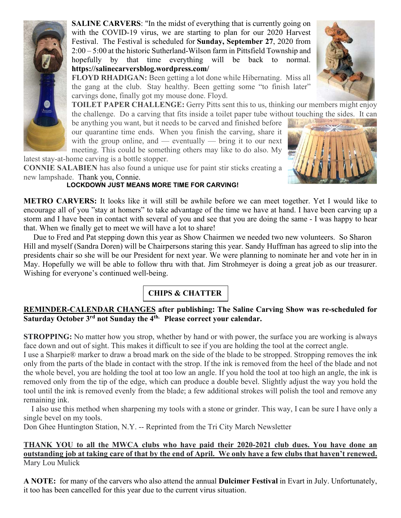

**SALINE CARVERS:** "In the midst of everything that is currently going on with the COVID-19 virus, we are starting to plan for our 2020 Harvest Festival. The Festival is scheduled for **Sunday, September 27**, 2020 from 2:00 – 5:00 at the historic Sutherland-Wilson farm in Pittsfield Township and hopefully by that time everything will be back to normal. **https://salinecarversblog.wordpress.com/**

**FLOYD RHADIGAN:** Been getting a lot done while Hibernating. Miss all the gang at the club. Stay healthy. Been getting some "to finish later" carvings done, finally got my mouse done. Floyd.

**TOILET PAPER CHALLENGE:** Gerry Pitts sent this to us, thinking our members might enjoy the challenge. Do a carving that fits inside a toilet paper tube without touching the sides. It can

be anything you want, but it needs to be carved and finished before our quarantine time ends. When you finish the carving, share it with the group online, and  $-$  eventually  $-$  bring it to our next meeting. This could be something others may like to do also. My



latest stay-at-home carving is a bottle stopper.

**CONNIE SALABIEN** has also found a unique use for paint stir sticks creating a new lampshade. Thank you, Connie.

#### **LOCKDOWN JUST MEANS MORE TIME FOR CARVING!**

**METRO CARVERS:** It looks like it will still be awhile before we can meet together. Yet I would like to encourage all of you "stay at homers" to take advantage of the time we have at hand. I have been carving up a storm and I have been in contact with several of you and see that you are doing the same - I was happy to hear that. When we finally get to meet we will have a lot to share!

 Due to Fred and Pat stepping down this year as Show Chairmen we needed two new volunteers. So Sharon Hill and myself (Sandra Doren) will be Chairpersons staring this year. Sandy Huffman has agreed to slip into the presidents chair so she will be our President for next year. We were planning to nominate her and vote her in in May. Hopefully we will be able to follow thru with that. Jim Strohmeyer is doing a great job as our treasurer. Wishing for everyone's continued well-being.

# **CHIPS & CHATTER**

## **REMINDER-CALENDAR CHANGES after publishing: The Saline Carving Show was re-scheduled for Saturday October 3rd not Sunday the 4th. Please correct your calendar.**

**STROPPING:** No matter how you strop, whether by hand or with power, the surface you are working is always face down and out of sight. This makes it difficult to see if you are holding the tool at the correct angle.

I use a Sharpie® marker to draw a broad mark on the side of the blade to be stropped. Stropping removes the ink only from the parts of the blade in contact with the strop. If the ink is removed from the heel of the blade and not the whole bevel, you are holding the tool at too low an angle. If you hold the tool at too high an angle, the ink is removed only from the tip of the edge, which can produce a double bevel. Slightly adjust the way you hold the tool until the ink is removed evenly from the blade; a few additional strokes will polish the tool and remove any remaining ink.

 I also use this method when sharpening my tools with a stone or grinder. This way, I can be sure I have only a single bevel on my tools.

Don Ghee Huntington Station, N.Y. -- Reprinted from the Tri City March Newsletter

### **THANK YOU to all the MWCA clubs who have paid their 2020-2021 club dues. You have done an outstanding job at taking care of that by the end of April. We only have a few clubs that haven't renewed.**  Mary Lou Mulick

**A NOTE:** for many of the carvers who also attend the annual **Dulcimer Festival** in Evart in July. Unfortunately, it too has been cancelled for this year due to the current virus situation.

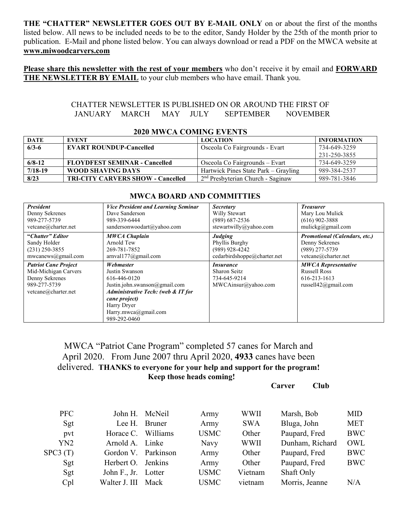**THE "CHATTER" NEWSLETTER GOES OUT BY E-MAIL ONLY** on or about the first of the months listed below. All news to be included needs to be to the editor, Sandy Holder by the 25th of the month prior to publication. E-Mail and phone listed below. You can always download or read a PDF on the MWCA website at **www.miwoodcarvers.com**

**Please share this newsletter with the rest of your members** who don't receive it by email and **FORWARD THE NEWSLETTER BY EMAIL** to your club members who have email. Thank you.

#### CHATTER NEWSLETTER IS PUBLISHED ON OR AROUND THE FIRST OF JANUARY MARCH MAY JULY SEPTEMBER NOVEMBER

| <b>DATE</b> | <b>EVENT</b>                             | <b>LOCATION</b>                      | <b>INFORMATION</b> |  |  |  |  |
|-------------|------------------------------------------|--------------------------------------|--------------------|--|--|--|--|
| $6/3-6$     | <b>EVART ROUNDUP-Cancelled</b>           | Osceola Co Fairgrounds - Evart       | 734-649-3259       |  |  |  |  |
|             |                                          |                                      | 231-250-3855       |  |  |  |  |
| $6/8 - 12$  | <b>FLOYDFEST SEMINAR - Cancelled</b>     | Osceola Co Fairgrounds – Evart       | 734-649-3259       |  |  |  |  |
| $7/18-19$   | WOOD SHAVING DAYS                        | Hartwick Pines State Park – Gravling | 989-384-2537       |  |  |  |  |
| 8/23        | <b>TRI-CITY CARVERS SHOW - Cancelled</b> | $2nd$ Presbyterian Church - Saginaw  | 989-781-3846       |  |  |  |  |

 **2020 MWCA COMING EVENTS**

#### **8/23 TRI-CITY CARVERS SHOW - Cancelled** 2 nd Presbyterian Church - Saginaw 989-781-3846  **MWCA BOARD AND COMMITTIES** *President*  Denny Sekrenes *Vice President and Learning Seminar*  Dave Sanderson *Secretary*  Willy Stewart *Treasurer*  Mary Lou Mulick

| President                                                                                                    | <i>Vice President and Learning Seminar</i>                                                                                                                                                 | Secretary                                                               | Treasurer                                                                                    |
|--------------------------------------------------------------------------------------------------------------|--------------------------------------------------------------------------------------------------------------------------------------------------------------------------------------------|-------------------------------------------------------------------------|----------------------------------------------------------------------------------------------|
| Denny Sekrenes                                                                                               | Dave Sanderson                                                                                                                                                                             | Willy Stewart                                                           | Mary Lou Mulick                                                                              |
| 989-277-5739                                                                                                 | 989-339-6444                                                                                                                                                                               | $(989)$ 687-2536                                                        | $(616)$ 902-3888                                                                             |
| vetcane@charter.net                                                                                          | sandersonwoodart@yahoo.com                                                                                                                                                                 | stewartwilly@yahoo.com                                                  | mulickg@gmail.com                                                                            |
| "Chatter" Editor                                                                                             | <b>MWCA Chaplain</b>                                                                                                                                                                       | Judging                                                                 | <b>Promotional (Calendars, etc.)</b>                                                         |
| Sandy Holder                                                                                                 | Arnold Tew                                                                                                                                                                                 | Phyllis Burghy                                                          | Denny Sekrenes                                                                               |
| $(231)$ 250-3855                                                                                             | 269-781-7852                                                                                                                                                                               | $(989)$ 928-4242                                                        | $(989)$ 277-5739                                                                             |
| mwcanews@gmail.com                                                                                           | arnvall77@gmail.com                                                                                                                                                                        | cedarbirdshoppe@charter.net                                             | vetcane@charter.net                                                                          |
| <b>Patriot Cane Project</b><br>Mid-Michigan Carvers<br>Denny Sekrenes<br>989-277-5739<br>vetcane@charter.net | Webmaster<br>Justin Swanson<br>616-446-0120<br>Justin.john.swanson@gmail.com<br>Administrative Tech: (web & IT for<br>cane project)<br>Harry Dryer<br>Harry.mwca@gmail.com<br>989-292-0460 | <i>Insurance</i><br>Sharon Seitz<br>734-645-9214<br>MWCAinsur@yahoo.com | <b>MWCA Representative</b><br><b>Russell Ross</b><br>616-213-1613<br>russell $42$ @gmail.com |

# MWCA "Patriot Cane Program" completed 57 canes for March and April 2020. From June 2007 thru April 2020, **4933** canes have been delivered. **THANKS to everyone for your help and support for the program! Keep those heads coming!**

**Carver Club** 

| <b>PFC</b> |                     | John H. McNeil | Army        | WWII        | Marsh, Bob      | <b>MID</b> |
|------------|---------------------|----------------|-------------|-------------|-----------------|------------|
| Sgt        | Lee H.              | Bruner         | Army        | <b>SWA</b>  | Bluga, John     | <b>MET</b> |
| pvt        | Horace C.           | Williams       | <b>USMC</b> | Other       | Paupard, Fred   | <b>BWC</b> |
| YN2        | Arnold A. Linke     |                | Navy        | <b>WWII</b> | Dunham, Richard | OWL        |
| SPC3(T)    | Gordon V. Parkinson |                | Army        | Other       | Paupard, Fred   | <b>BWC</b> |
| Sgt        | Herbert O.          | Jenkins        | Army        | Other       | Paupard, Fred   | <b>BWC</b> |
| Sgt        | John F., Jr. Lotter |                | <b>USMC</b> | Vietnam     | Shaft Only      |            |
| Cpl        | Walter J. III       | Mack           | <b>USMC</b> | vietnam     | Morris, Jeanne  | N/A        |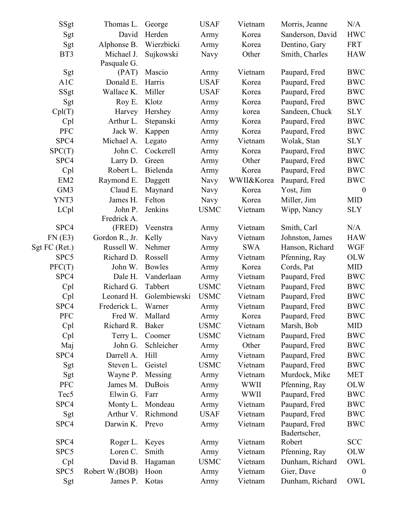| SSgt                          | Thomas L.      | George        | <b>USAF</b> | Vietnam     | Morris, Jeanne   | N/A              |
|-------------------------------|----------------|---------------|-------------|-------------|------------------|------------------|
| Sgt                           | David          | Herden        | Army        | Korea       | Sanderson, David | <b>HWC</b>       |
| Sgt                           | Alphonse B.    | Wierzbicki    | Army        | Korea       | Dentino, Gary    | <b>FRT</b>       |
| BT3                           | Michael J.     | Sujkowski     | Navy        | Other       | Smith, Charles   | <b>HAW</b>       |
|                               | Pasquale G.    |               |             |             |                  |                  |
| $\operatorname{\mathsf{Sgt}}$ | (PAT)          | Mascio        | Army        | Vietnam     | Paupard, Fred    | <b>BWC</b>       |
| A1C                           | Donald E.      | Harris        | <b>USAF</b> | Korea       | Paupard, Fred    | <b>BWC</b>       |
| SSgt                          | Wallace K.     | Miller        | <b>USAF</b> | Korea       | Paupard, Fred    | <b>BWC</b>       |
| Sgt                           | Roy E.         | Klotz         | Army        | Korea       | Paupard, Fred    | <b>BWC</b>       |
| Cpl(T)                        | Harvey         | Hershey       | Army        | korea       | Sandeen, Chuck   | <b>SLY</b>       |
| Cpl                           | Arthur L.      | Stepanski     | Army        | Korea       | Paupard, Fred    | <b>BWC</b>       |
| <b>PFC</b>                    | Jack W.        | Kappen        | Army        | Korea       | Paupard, Fred    | <b>BWC</b>       |
| SPC4                          | Michael A.     | Legato        | Army        | Vietnam     | Wolak, Stan      | <b>SLY</b>       |
| SPC(T)                        | John C.        | Cockerell     | Army        | Korea       | Paupard, Fred    | <b>BWC</b>       |
| SPC4                          | Larry D.       | Green         | Army        | Other       | Paupard, Fred    | <b>BWC</b>       |
| Cpl                           | Robert L.      | Bielenda      | Army        | Korea       | Paupard, Fred    | <b>BWC</b>       |
| EM <sub>2</sub>               | Raymond E.     | Daggett       | <b>Navy</b> | WWII&Korea  | Paupard, Fred    | <b>BWC</b>       |
| GM3                           | Claud E.       | Maynard       | Navy        | Korea       | Yost, Jim        | $\overline{0}$   |
| YNT3                          | James H.       | Felton        | Navy        | Korea       | Miller, Jim      | <b>MID</b>       |
| LCpl                          | John P.        | Jenkins       | <b>USMC</b> | Vietnam     | Wipp, Nancy      | <b>SLY</b>       |
|                               | Fredrick A.    |               |             |             |                  |                  |
| SPC4                          | (FRED)         | Veenstra      | Army        | Vietnam     | Smith, Carl      | N/A              |
| FN(E3)                        | Gordon R., Jr. | Kelly         | Navy        | Vietnam     | Johnston, James  | <b>HAW</b>       |
| Sgt FC (Ret.)                 | Russell W.     | Nehmer        | Army        | <b>SWA</b>  | Hanson, Richard  | <b>WGF</b>       |
| SPC <sub>5</sub>              | Richard D.     | Rossell       | Army        | Vietnam     | Pfenning, Ray    | <b>OLW</b>       |
| PFC(T)                        | John W.        | <b>Bowles</b> | Army        | Korea       | Cords, Pat       | <b>MID</b>       |
| SPC4                          | Dale H.        | Vanderlaan    | Army        | Vietnam     | Paupard, Fred    | <b>BWC</b>       |
| Cpl                           | Richard G.     | Tabbert       | <b>USMC</b> | Vietnam     | Paupard, Fred    | <b>BWC</b>       |
| Cpl                           | Leonard H.     | Golembiewski  | <b>USMC</b> | Vietnam     | Paupard, Fred    | <b>BWC</b>       |
| SPC4                          | Frederick L.   | Warner        | Army        | Vietnam     | Paupard, Fred    | <b>BWC</b>       |
| <b>PFC</b>                    | Fred W.        | Mallard       | Army        | Korea       | Paupard, Fred    | <b>BWC</b>       |
| Cpl                           | Richard R.     | <b>Baker</b>  | <b>USMC</b> | Vietnam     | Marsh, Bob       | MID              |
| Cpl                           | Terry L.       | Coomer        | <b>USMC</b> | Vietnam     | Paupard, Fred    | <b>BWC</b>       |
| Maj                           | John G.        | Schleicher    | Army        | Other       | Paupard, Fred    | <b>BWC</b>       |
| SPC4                          | Darrell A.     | Hill          | Army        | Vietnam     | Paupard, Fred    | <b>BWC</b>       |
| Sgt                           | Steven L.      | Geistel       | <b>USMC</b> | Vietnam     | Paupard, Fred    | <b>BWC</b>       |
| Sgt                           | Wayne P.       | Messing       | Army        | Vietnam     | Murdock, Mike    | MET              |
| <b>PFC</b>                    | James M.       | DuBois        | Army        | <b>WWII</b> | Pfenning, Ray    | <b>OLW</b>       |
| Tec <sub>5</sub>              | Elwin G.       | Farr          | Army        | <b>WWII</b> | Paupard, Fred    | <b>BWC</b>       |
| SPC4                          | Monty L.       | Mondeau       | Army        | Vietnam     | Paupard, Fred    | <b>BWC</b>       |
| Sgt                           | Arthur V.      | Richmond      | <b>USAF</b> | Vietnam     | Paupard, Fred    | <b>BWC</b>       |
| SPC4                          | Darwin K.      | Prevo         | Army        | Vietnam     | Paupard, Fred    | <b>BWC</b>       |
|                               |                |               |             |             | Badertscher,     |                  |
| SPC4                          | Roger L.       | Keyes         | Army        | Vietnam     | Robert           | <b>SCC</b>       |
| SPC <sub>5</sub>              | Loren C.       | Smith         | Army        | Vietnam     | Pfenning, Ray    | <b>OLW</b>       |
| Cpl                           | David B.       | Hagaman       | <b>USMC</b> | Vietnam     | Dunham, Richard  | OWL              |
| SPC5                          | Robert W.(BOB) | Hoon          | Army        | Vietnam     | Gier, Dave       | $\boldsymbol{0}$ |
| Sgt                           | James P.       | Kotas         | Army        | Vietnam     | Dunham, Richard  | OWL              |
|                               |                |               |             |             |                  |                  |